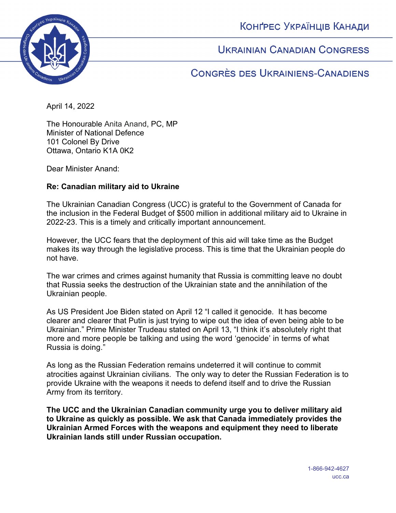КОНҐРЕС УКРАЇНЦІВ КАНАДИ



**UKRAINIAN CANADIAN CONGRESS** 

CONGRÈS DES UKRAINIENS-CANADIENS

April 14, 2022

The Honourable Anita Anand, PC, MP Minister of National Defence 101 Colonel By Drive Ottawa, Ontario K1A 0K2

Dear Minister Anand:

## **Re: Canadian military aid to Ukraine**

The Ukrainian Canadian Congress (UCC) is grateful to the Government of Canada for the inclusion in the Federal Budget of \$500 million in additional military aid to Ukraine in 2022-23. This is a timely and critically important announcement.

However, the UCC fears that the deployment of this aid will take time as the Budget makes its way through the legislative process. This is time that the Ukrainian people do not have.

The war crimes and crimes against humanity that Russia is committing leave no doubt that Russia seeks the destruction of the Ukrainian state and the annihilation of the Ukrainian people.

As US President Joe Biden stated on April 12 "I called it genocide. It has become clearer and clearer that Putin is just trying to wipe out the idea of even being able to be Ukrainian." Prime Minister Trudeau stated on April 13, "I think it's absolutely right that more and more people be talking and using the word 'genocide' in terms of what Russia is doing."

As long as the Russian Federation remains undeterred it will continue to commit atrocities against Ukrainian civilians. The only way to deter the Russian Federation is to provide Ukraine with the weapons it needs to defend itself and to drive the Russian Army from its territory.

**The UCC and the Ukrainian Canadian community urge you to deliver military aid to Ukraine as quickly as possible. We ask that Canada immediately provides the Ukrainian Armed Forces with the weapons and equipment they need to liberate Ukrainian lands still under Russian occupation.**